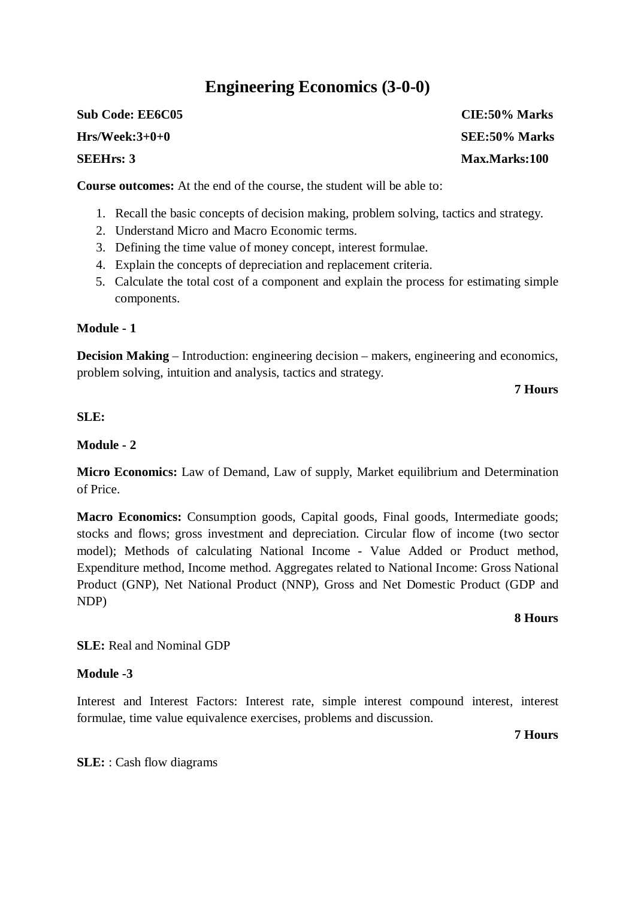## **Engineering Economics (3-0-0)**

**Course outcomes:** At the end of the course, the student will be able to:

- 1. Recall the basic concepts of decision making, problem solving, tactics and strategy.
- 2. Understand Micro and Macro Economic terms.
- 3. Defining the time value of money concept, interest formulae.
- 4. Explain the concepts of depreciation and replacement criteria.
- 5. Calculate the total cost of a component and explain the process for estimating simple components.

#### **Module - 1**

**Decision Making** – Introduction: engineering decision – makers, engineering and economics, problem solving, intuition and analysis, tactics and strategy.

**7 Hours**

#### **SLE:**

#### **Module - 2**

**Micro Economics:** Law of Demand, Law of supply, Market equilibrium and Determination of Price.

**Macro Economics:** Consumption goods, Capital goods, Final goods, Intermediate goods; stocks and flows; gross investment and depreciation. Circular flow of income (two sector model); Methods of calculating National Income - Value Added or Product method, Expenditure method, Income method. Aggregates related to National Income: Gross National Product (GNP), Net National Product (NNP), Gross and Net Domestic Product (GDP and NDP)

#### **8 Hours**

**SLE:** Real and Nominal GDP

#### **Module -3**

Interest and Interest Factors: Interest rate, simple interest compound interest, interest formulae, time value equivalence exercises, problems and discussion.

**7 Hours**

**SLE:** : Cash flow diagrams

**Sub Code: EE6C05 CIE:50% Marks Hrs/Week:3+0+0 SEE:50% Marks SEEHrs: 3 Max.Marks:100**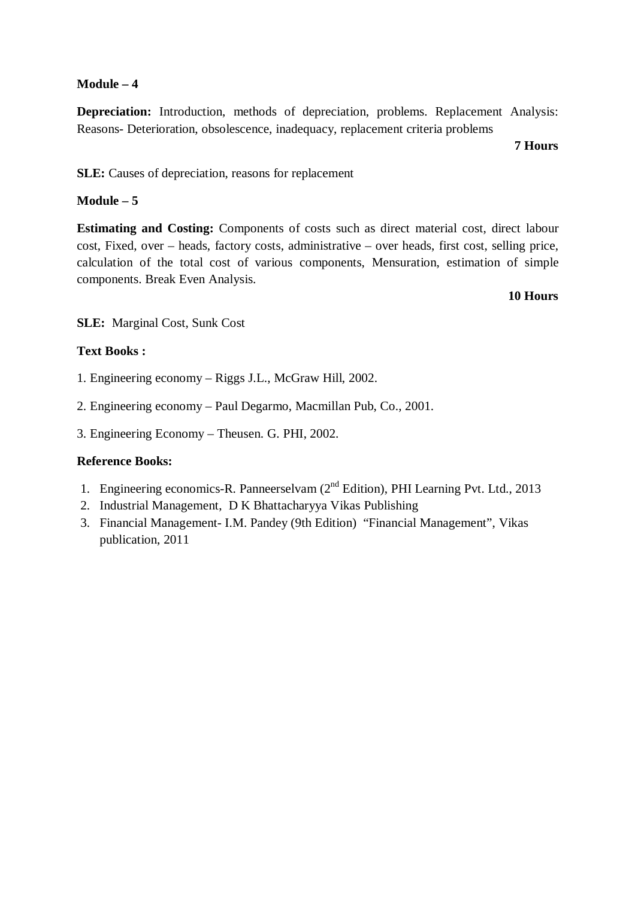#### **Module – 4**

**Depreciation:** Introduction, methods of depreciation, problems. Replacement Analysis: Reasons- Deterioration, obsolescence, inadequacy, replacement criteria problems

**7 Hours**

**SLE:** Causes of depreciation, reasons for replacement

#### **Module – 5**

**Estimating and Costing:** Components of costs such as direct material cost, direct labour cost, Fixed, over – heads, factory costs, administrative – over heads, first cost, selling price, calculation of the total cost of various components, Mensuration, estimation of simple components. Break Even Analysis.

#### **10 Hours**

**SLE:** Marginal Cost, Sunk Cost

#### **Text Books :**

1. Engineering economy – Riggs J.L., McGraw Hill, 2002.

2. Engineering economy – Paul Degarmo, Macmillan Pub, Co., 2001.

3. Engineering Economy – Theusen. G. PHI, 2002.

#### **Reference Books:**

- 1. Engineering economics-R. Panneerselvam  $(2<sup>nd</sup> Edition)$ , PHI Learning Pvt. Ltd., 2013
- 2. Industrial Management, D K Bhattacharyya Vikas Publishing
- 3. Financial Management- I.M. Pandey (9th Edition) "Financial Management", Vikas publication, 2011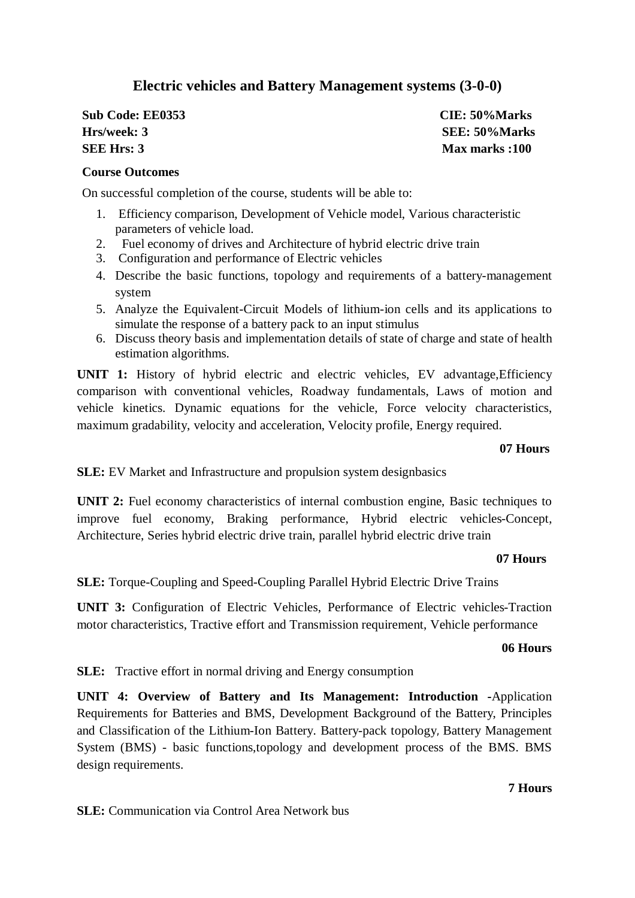### **Electric vehicles and Battery Management systems (3-0-0)**

| <b>Sub Code: EE0353</b> |  |
|-------------------------|--|
| Hrs/week: 3             |  |
| <b>SEE Hrs: 3</b>       |  |

**Sub Code: EE0353 CIE: 50%Marks Hrs/week: 3 SEE: 50%Marks Max marks :100** 

#### **Course Outcomes**

On successful completion of the course, students will be able to:

- 1. Efficiency comparison, Development of Vehicle model, Various characteristic parameters of vehicle load.
- 2. Fuel economy of drives and Architecture of hybrid electric drive train
- 3. Configuration and performance of Electric vehicles
- 4. Describe the basic functions, topology and requirements of a battery-management system
- 5. Analyze the Equivalent-Circuit Models of lithium-ion cells and its applications to simulate the response of a battery pack to an input stimulus
- 6. Discuss theory basis and implementation details of state of charge and state of health estimation algorithms.

**UNIT 1:** History of hybrid electric and electric vehicles, EV advantage,Efficiency comparison with conventional vehicles, Roadway fundamentals, Laws of motion and vehicle kinetics. Dynamic equations for the vehicle, Force velocity characteristics, maximum gradability, velocity and acceleration, Velocity profile, Energy required.

**07 Hours**

**SLE:** EV Market and Infrastructure and propulsion system designbasics

**UNIT 2:** Fuel economy characteristics of internal combustion engine, Basic techniques to improve fuel economy, Braking performance, Hybrid electric vehicles-Concept, Architecture, Series hybrid electric drive train, parallel hybrid electric drive train

#### **07 Hours**

**SLE:** Torque-Coupling and Speed-Coupling Parallel Hybrid Electric Drive Trains

**UNIT 3:** Configuration of Electric Vehicles, Performance of Electric vehicles-Traction motor characteristics, Tractive effort and Transmission requirement, Vehicle performance

#### **06 Hours**

**SLE:** Tractive effort in normal driving and Energy consumption

**UNIT 4: Overview of Battery and Its Management: Introduction -**Application Requirements for Batteries and BMS, Development Background of the Battery, Principles and Classification of the Lithium-Ion Battery. Battery-pack topology, Battery Management System (BMS) - basic functions,topology and development process of the BMS. BMS design requirements.

**SLE:** Communication via Control Area Network bus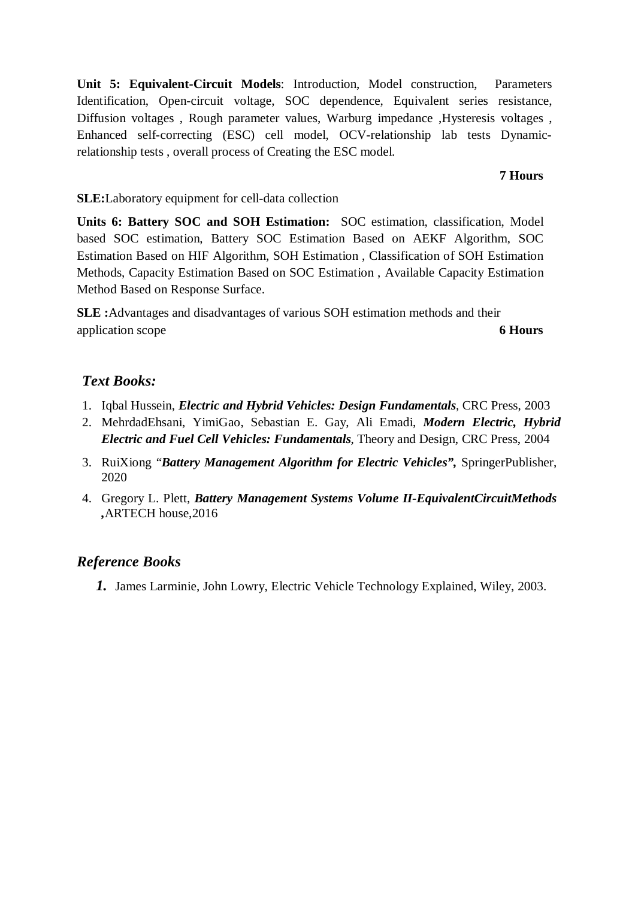**Unit 5: Equivalent-Circuit Models**: Introduction, Model construction, Parameters Identification, Open-circuit voltage, SOC dependence, Equivalent series resistance, Diffusion voltages , Rough parameter values, Warburg impedance ,Hysteresis voltages , Enhanced self-correcting (ESC) cell model, OCV-relationship lab tests Dynamicrelationship tests , overall process of Creating the ESC model.

#### **7 Hours**

#### **SLE:**Laboratory equipment for cell-data collection

**Units 6: Battery SOC and SOH Estimation:** SOC estimation, classification, Model based SOC estimation, Battery SOC Estimation Based on AEKF Algorithm, SOC Estimation Based on HIF Algorithm, SOH Estimation , Classification of SOH Estimation Methods, Capacity Estimation Based on SOC Estimation , Available Capacity Estimation Method Based on Response Surface.

**SLE :**Advantages and disadvantages of various SOH estimation methods and their application scope **6 Hours**

#### *Text Books:*

- 1. Iqbal Hussein, *Electric and Hybrid Vehicles: Design Fundamentals*, CRC Press, 2003
- 2. MehrdadEhsani, YimiGao, Sebastian E. Gay, Ali Emadi, *Modern Electric, Hybrid Electric and Fuel Cell Vehicles: Fundamentals*, Theory and Design, CRC Press, 2004
- 3. RuiXiong "*Battery Management Algorithm for Electric Vehicles",* SpringerPublisher, 2020
- 4. Gregory L. Plett, *Battery Management Systems Volume II-EquivalentCircuitMethods ,*ARTECH house,2016

#### *Reference Books*

*1.* James Larminie, John Lowry, Electric Vehicle Technology Explained, Wiley, 2003.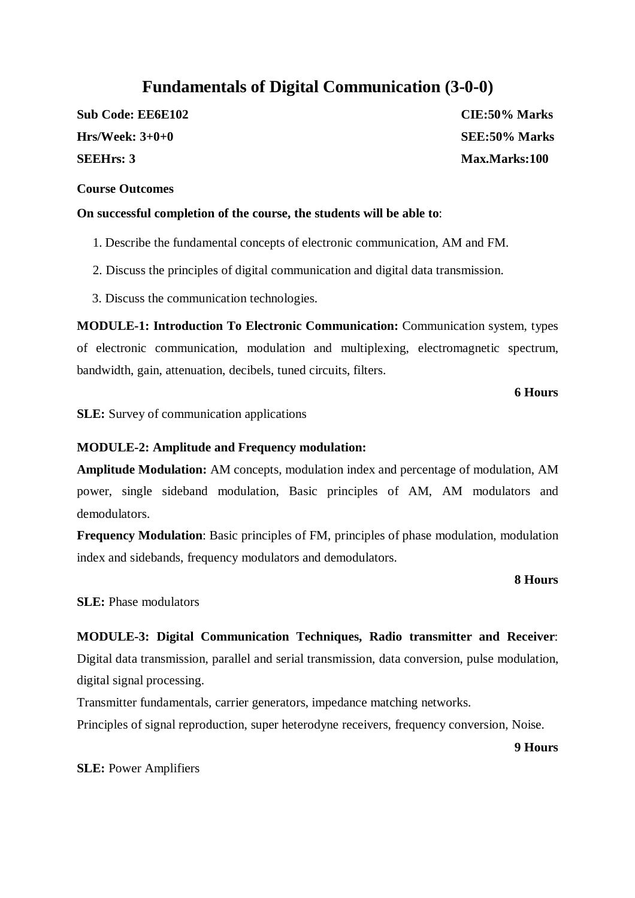## **Fundamentals of Digital Communication (3-0-0)**

**Sub Code: EE6E102 CIE:50% Marks Hrs/Week: 3+0+0 SEE:50% Marks SEEHrs: 3 Max.Marks:100**

#### **Course Outcomes**

#### **On successful completion of the course, the students will be able to**:

- 1. Describe the fundamental concepts of electronic communication, AM and FM.
- 2. Discuss the principles of digital communication and digital data transmission.
- 3. Discuss the communication technologies.

**MODULE-1: Introduction To Electronic Communication:** Communication system, types of electronic communication, modulation and multiplexing, electromagnetic spectrum, bandwidth, gain, attenuation, decibels, tuned circuits, filters.

#### **6 Hours**

**SLE:** Survey of communication applications

#### **MODULE-2: Amplitude and Frequency modulation:**

**Amplitude Modulation:** AM concepts, modulation index and percentage of modulation, AM power, single sideband modulation, Basic principles of AM, AM modulators and demodulators.

**Frequency Modulation**: Basic principles of FM, principles of phase modulation, modulation index and sidebands, frequency modulators and demodulators.

#### **8 Hours**

**SLE:** Phase modulators

## **MODULE-3: Digital Communication Techniques, Radio transmitter and Receiver**: Digital data transmission, parallel and serial transmission, data conversion, pulse modulation,

digital signal processing.

Transmitter fundamentals, carrier generators, impedance matching networks.

Principles of signal reproduction, super heterodyne receivers, frequency conversion, Noise.

**9 Hours**

**SLE:** Power Amplifiers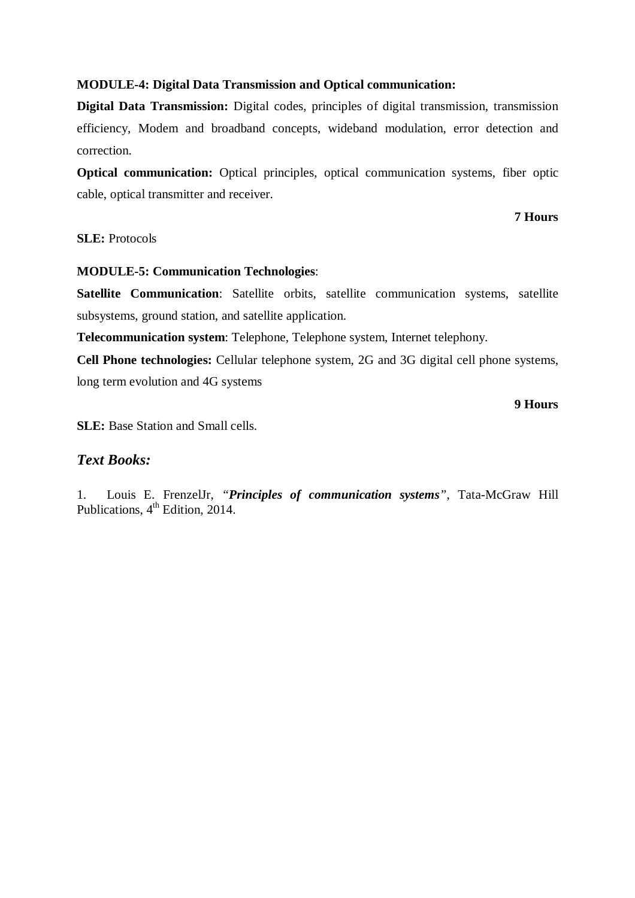#### **MODULE-4: Digital Data Transmission and Optical communication:**

**Digital Data Transmission:** Digital codes, principles of digital transmission, transmission efficiency, Modem and broadband concepts, wideband modulation, error detection and correction.

**Optical communication:** Optical principles, optical communication systems, fiber optic cable, optical transmitter and receiver.

#### **7 Hours**

#### **SLE:** Protocols

#### **MODULE-5: Communication Technologies**:

**Satellite Communication**: Satellite orbits, satellite communication systems, satellite subsystems, ground station, and satellite application.

**Telecommunication system**: Telephone, Telephone system, Internet telephony.

**Cell Phone technologies:** Cellular telephone system, 2G and 3G digital cell phone systems, long term evolution and 4G systems

#### **9 Hours**

**SLE:** Base Station and Small cells.

#### *Text Books:*

1. Louis E. FrenzelJr, *"Principles of communication systems"*, Tata-McGraw Hill Publications,  $4^{\text{th}}$  Edition, 2014.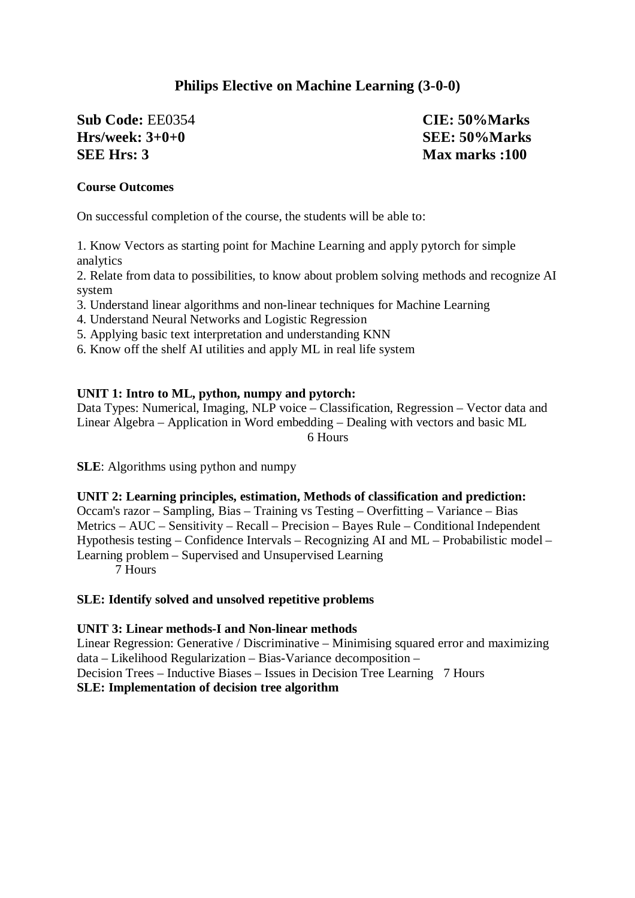## **Philips Elective on Machine Learning (3-0-0)**

#### **Sub Code:** EE0354 **CIE: 50%Marks Hrs/week: 3+0+0 SEE: 50%Marks SEE Hrs: 3** Max marks :100

#### **Course Outcomes**

On successful completion of the course, the students will be able to:

1. Know Vectors as starting point for Machine Learning and apply pytorch for simple analytics

2. Relate from data to possibilities, to know about problem solving methods and recognize AI system

3. Understand linear algorithms and non-linear techniques for Machine Learning

4. Understand Neural Networks and Logistic Regression

5. Applying basic text interpretation and understanding KNN

6. Know off the shelf AI utilities and apply ML in real life system

#### **UNIT 1: Intro to ML, python, numpy and pytorch:**

Data Types: Numerical, Imaging, NLP voice – Classification, Regression – Vector data and Linear Algebra – Application in Word embedding – Dealing with vectors and basic ML 6 Hours

**SLE**: Algorithms using python and numpy

#### **UNIT 2: Learning principles, estimation, Methods of classification and prediction:**

Occam's razor – Sampling, Bias – Training vs Testing – Overfitting – Variance – Bias Metrics – AUC – Sensitivity – Recall – Precision – Bayes Rule – Conditional Independent Hypothesis testing – Confidence Intervals – Recognizing AI and ML – Probabilistic model – Learning problem – Supervised and Unsupervised Learning 7 Hours

#### **SLE: Identify solved and unsolved repetitive problems**

#### **UNIT 3: Linear methods-I and Non-linear methods**

Linear Regression: Generative / Discriminative – Minimising squared error and maximizing data – Likelihood Regularization – Bias-Variance decomposition – Decision Trees – Inductive Biases – Issues in Decision Tree Learning 7 Hours **SLE: Implementation of decision tree algorithm**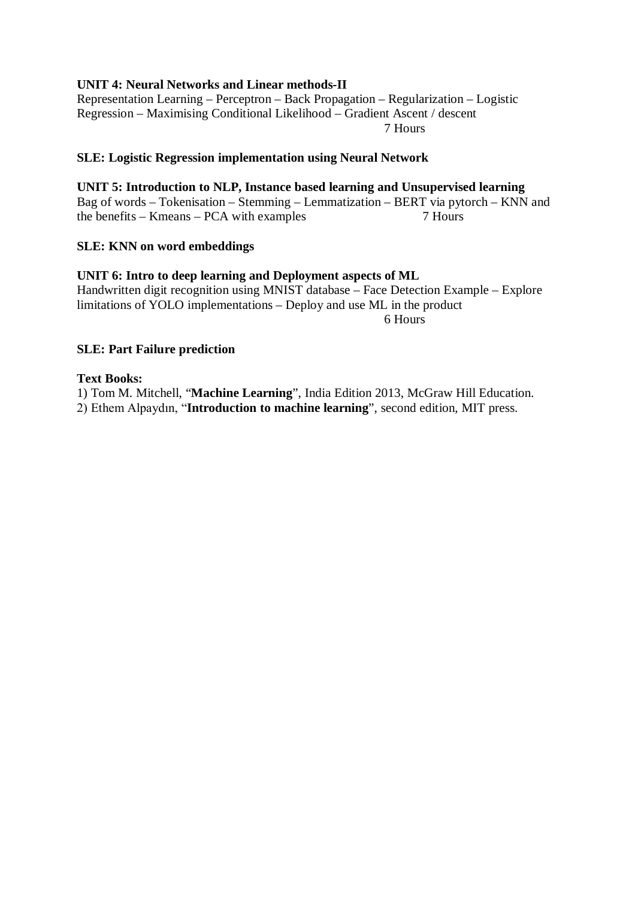#### **UNIT 4: Neural Networks and Linear methods-II**

Representation Learning – Perceptron – Back Propagation – Regularization – Logistic Regression – Maximising Conditional Likelihood – Gradient Ascent / descent 7 Hours

#### **SLE: Logistic Regression implementation using Neural Network**

#### **UNIT 5: Introduction to NLP, Instance based learning and Unsupervised learning**

Bag of words – Tokenisation – Stemming – Lemmatization – BERT via pytorch – KNN and the benefits – Kmeans – PCA with examples 7 Hours

#### **SLE: KNN on word embeddings**

#### **UNIT 6: Intro to deep learning and Deployment aspects of ML**

Handwritten digit recognition using MNIST database – Face Detection Example – Explore limitations of YOLO implementations – Deploy and use ML in the product 6 Hours

#### **SLE: Part Failure prediction**

#### **Text Books:**

1) Tom M. Mitchell, "**Machine Learning**", India Edition 2013, McGraw Hill Education. 2) Ethem Alpaydın, "**Introduction to machine learning**", second edition, MIT press.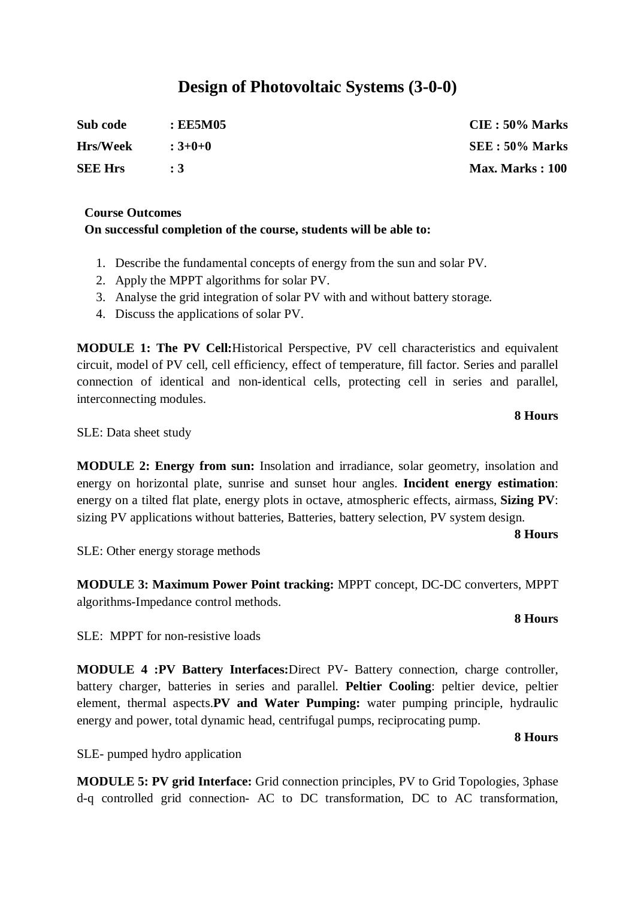## **Design of Photovoltaic Systems (3-0-0)**

| Sub code        | : EE5M05  | $CIE: 50\%$ Marks      |
|-----------------|-----------|------------------------|
| <b>Hrs/Week</b> | $:3+0+0$  | SEE: 50% Marks         |
| <b>SEE Hrs</b>  | $\cdot$ 3 | <b>Max. Marks: 100</b> |

#### **Course Outcomes On successful completion of the course, students will be able to:**

- 1. Describe the fundamental concepts of energy from the sun and solar PV.
- 2. Apply the MPPT algorithms for solar PV.
- 3. Analyse the grid integration of solar PV with and without battery storage.
- 4. Discuss the applications of solar PV.

**MODULE 1: The PV Cell:**Historical Perspective, PV cell characteristics and equivalent circuit, model of PV cell, cell efficiency, effect of temperature, fill factor. Series and parallel connection of identical and non-identical cells, protecting cell in series and parallel, interconnecting modules.

#### **8 Hours**

SLE: Data sheet study

**MODULE 2: Energy from sun:** Insolation and irradiance, solar geometry, insolation and energy on horizontal plate, sunrise and sunset hour angles. **Incident energy estimation**: energy on a tilted flat plate, energy plots in octave, atmospheric effects, airmass, **Sizing PV**: sizing PV applications without batteries, Batteries, battery selection, PV system design.

#### **8 Hours**

SLE: Other energy storage methods

**MODULE 3: Maximum Power Point tracking:** MPPT concept, DC-DC converters, MPPT algorithms-Impedance control methods.

#### **8 Hours**

SLE: MPPT for non-resistive loads

**MODULE 4 :PV Battery Interfaces:**Direct PV- Battery connection, charge controller, battery charger, batteries in series and parallel. **Peltier Cooling**: peltier device, peltier element, thermal aspects.**PV and Water Pumping:** water pumping principle, hydraulic energy and power, total dynamic head, centrifugal pumps, reciprocating pump.

#### **8 Hours**

SLE- pumped hydro application

**MODULE 5: PV grid Interface:** Grid connection principles, PV to Grid Topologies, 3phase d-q controlled grid connection- AC to DC transformation, DC to AC transformation,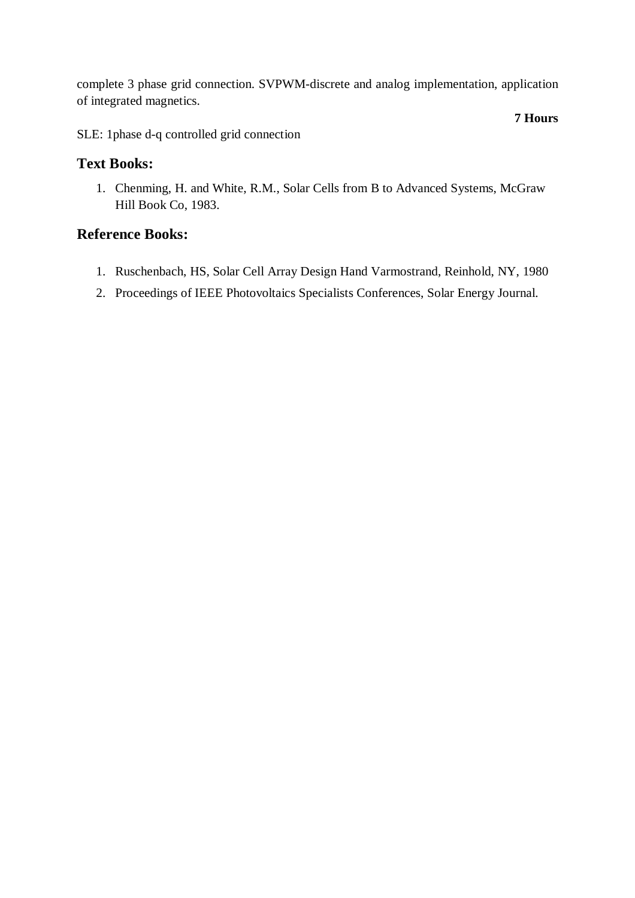complete 3 phase grid connection. SVPWM-discrete and analog implementation, application of integrated magnetics.

**7 Hours**

SLE: 1phase d-q controlled grid connection

#### **Text Books:**

1. Chenming, H. and White, R.M., Solar Cells from B to Advanced Systems, McGraw Hill Book Co, 1983.

### **Reference Books:**

- 1. Ruschenbach, HS, Solar Cell Array Design Hand Varmostrand, Reinhold, NY, 1980
- 2. Proceedings of IEEE Photovoltaics Specialists Conferences, Solar Energy Journal.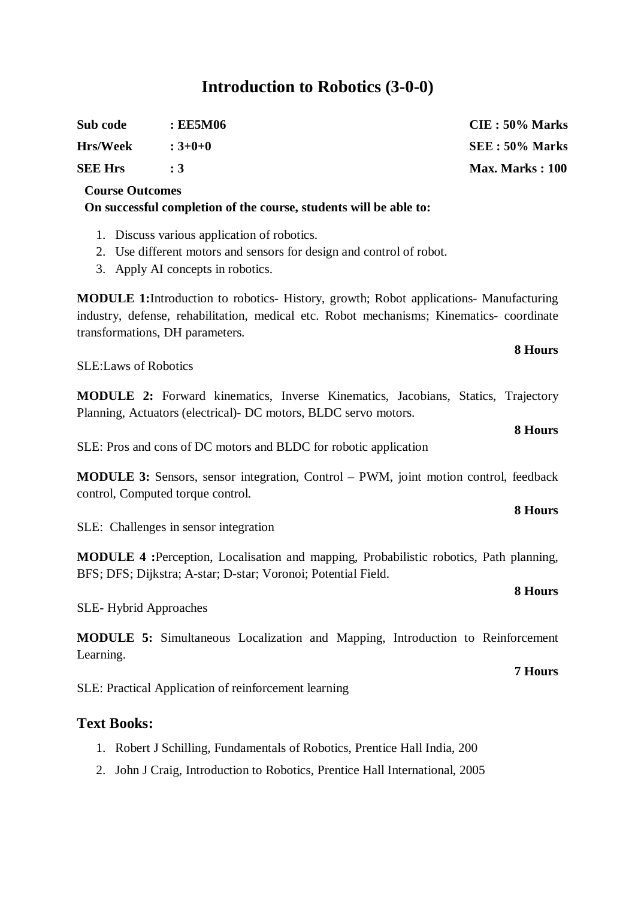## **Introduction to Robotics (3-0-0)**

| Sub code        | : EE5M06  | $CIE: 50\%$ Marks      |
|-----------------|-----------|------------------------|
| <b>Hrs/Week</b> | $:3+0+0$  | SEE: 50% Marks         |
| <b>SEE Hrs</b>  | $\cdot$ 3 | <b>Max. Marks: 100</b> |

#### **Course Outcomes**

**On successful completion of the course, students will be able to:**

- 1. Discuss various application of robotics.
- 2. Use different motors and sensors for design and control of robot.
- 3. Apply AI concepts in robotics.

**MODULE 1:**Introduction to robotics- History, growth; Robot applications- Manufacturing industry, defense, rehabilitation, medical etc. Robot mechanisms; Kinematics- coordinate transformations, DH parameters.

SLE:Laws of Robotics

**MODULE 2:** Forward kinematics, Inverse Kinematics, Jacobians, Statics, Trajectory Planning, Actuators (electrical)- DC motors, BLDC servo motors.

SLE: Pros and cons of DC motors and BLDC for robotic application

**MODULE 3:** Sensors, sensor integration, Control – PWM, joint motion control, feedback control, Computed torque control.

SLE: Challenges in sensor integration

**MODULE 4 :**Perception, Localisation and mapping, Probabilistic robotics, Path planning, BFS; DFS; Dijkstra; A-star; D-star; Voronoi; Potential Field.

SLE- Hybrid Approaches

**MODULE 5:** Simultaneous Localization and Mapping, Introduction to Reinforcement Learning.

SLE: Practical Application of reinforcement learning

#### **Text Books:**

- 1. Robert J Schilling, Fundamentals of Robotics, Prentice Hall India, 200
- 2. John J Craig, Introduction to Robotics, Prentice Hall International, 2005

## **8 Hours**

**8 Hours**

**8 Hours**

#### **7 Hours**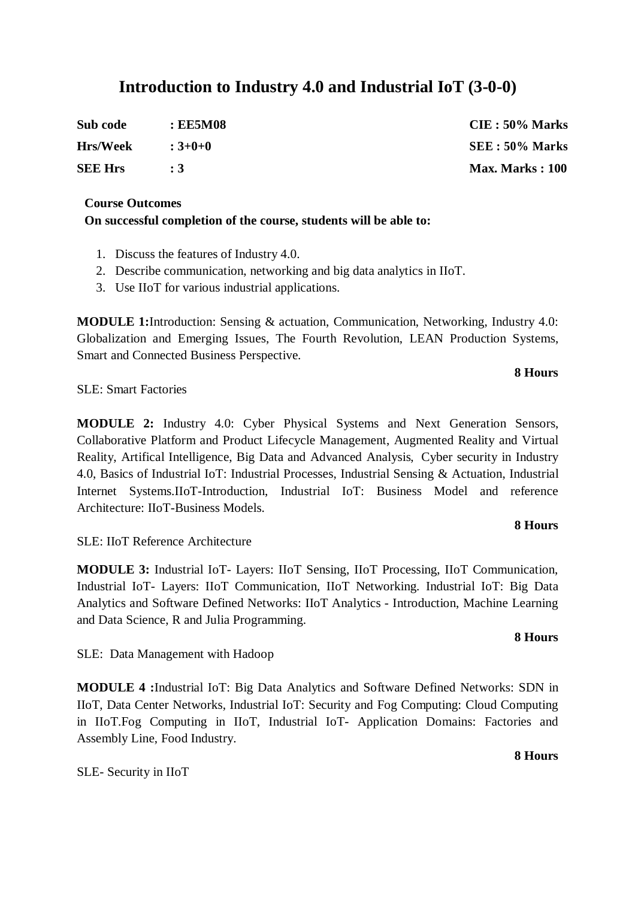## **Introduction to Industry 4.0 and Industrial IoT (3-0-0)**

| Sub code        | : EE5M08     | $CIE: 50\%$ Marks      |
|-----------------|--------------|------------------------|
| <b>Hrs/Week</b> | $\div$ 3+0+0 | SEE: 50% Marks         |
| <b>SEE Hrs</b>  | $\cdot$ 3    | <b>Max. Marks: 100</b> |

#### **Course Outcomes On successful completion of the course, students will be able to:**

- 1. Discuss the features of Industry 4.0.
- 2. Describe communication, networking and big data analytics in IIoT.
- 3. Use IIoT for various industrial applications.

**MODULE 1:**Introduction: Sensing & actuation, Communication, Networking, Industry 4.0: Globalization and Emerging Issues, The Fourth Revolution, LEAN Production Systems, Smart and Connected Business Perspective.

SLE: Smart Factories

**MODULE 2:** Industry 4.0: Cyber Physical Systems and Next Generation Sensors, Collaborative Platform and Product Lifecycle Management, Augmented Reality and Virtual Reality, Artifical Intelligence, Big Data and Advanced Analysis, Cyber security in Industry 4.0, Basics of Industrial IoT: Industrial Processes, Industrial Sensing & Actuation, Industrial Internet Systems.IIoT-Introduction, Industrial IoT: Business Model and reference Architecture: IIoT-Business Models.

#### **8 Hours**

**8 Hours**

SLE: IIoT Reference Architecture

**MODULE 3:** Industrial IoT- Layers: IIoT Sensing, IIoT Processing, IIoT Communication, Industrial IoT- Layers: IIoT Communication, IIoT Networking. Industrial IoT: Big Data Analytics and Software Defined Networks: IIoT Analytics - Introduction, Machine Learning and Data Science, R and Julia Programming.

SLE: Data Management with Hadoop

**MODULE 4 :**Industrial IoT: Big Data Analytics and Software Defined Networks: SDN in IIoT, Data Center Networks, Industrial IoT: Security and Fog Computing: Cloud Computing in IIoT.Fog Computing in IIoT, Industrial IoT- Application Domains: Factories and Assembly Line, Food Industry.

SLE- Security in IIoT

#### **8 Hours**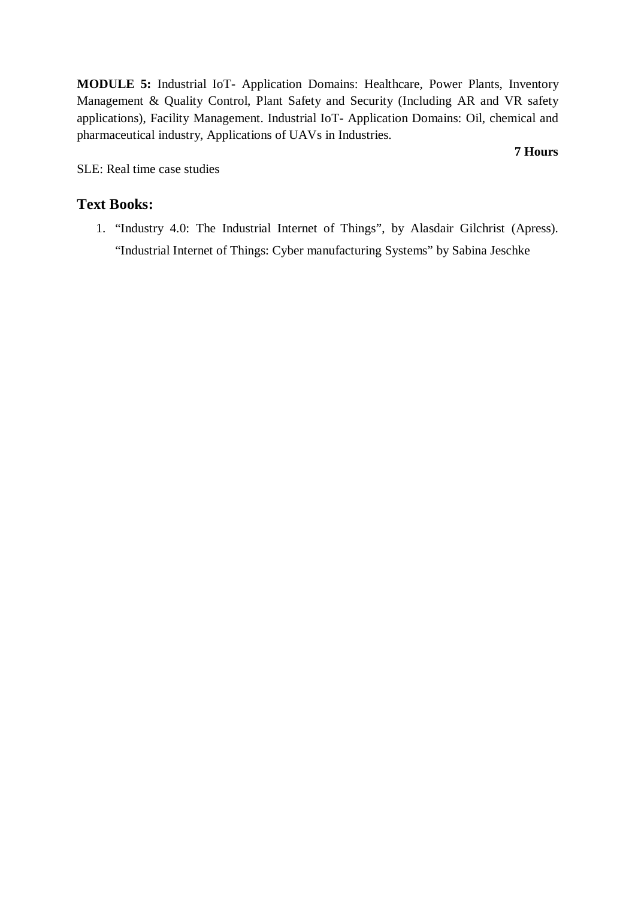**MODULE 5:** Industrial IoT- Application Domains: Healthcare, Power Plants, Inventory Management & Quality Control, Plant Safety and Security (Including AR and VR safety applications), Facility Management. Industrial IoT- Application Domains: Oil, chemical and pharmaceutical industry, Applications of UAVs in Industries.

**7 Hours**

SLE: Real time case studies

#### **Text Books:**

1. "Industry 4.0: The Industrial Internet of Things", by Alasdair Gilchrist (Apress). "Industrial Internet of Things: Cyber manufacturing Systems" by Sabina Jeschke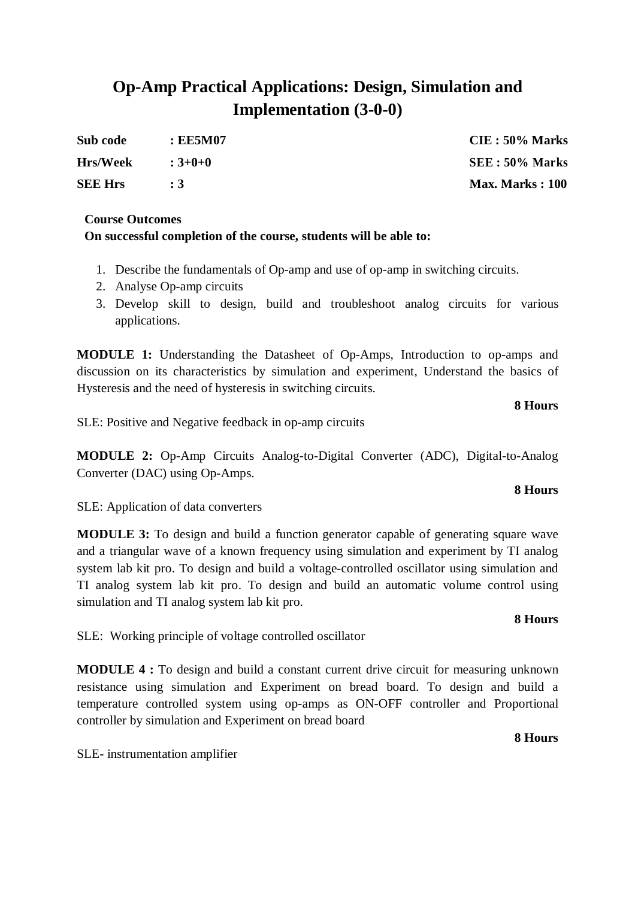## **Op-Amp Practical Applications: Design, Simulation and Implementation (3-0-0)**

| Sub code        | : EE5M07  | $CIE: 50\%$ Marks      |
|-----------------|-----------|------------------------|
| <b>Hrs/Week</b> | $:3+0+0$  | SEE : 50% Marks        |
| <b>SEE Hrs</b>  | $\cdot$ 3 | <b>Max. Marks: 100</b> |

#### **Course Outcomes**

#### **On successful completion of the course, students will be able to:**

- 1. Describe the fundamentals of Op-amp and use of op-amp in switching circuits.
- 2. Analyse Op-amp circuits
- 3. Develop skill to design, build and troubleshoot analog circuits for various applications.

**MODULE 1:** Understanding the Datasheet of Op-Amps, Introduction to op-amps and discussion on its characteristics by simulation and experiment, Understand the basics of Hysteresis and the need of hysteresis in switching circuits.

#### **8 Hours**

SLE: Positive and Negative feedback in op-amp circuits

**MODULE 2:** Op-Amp Circuits Analog-to-Digital Converter (ADC), Digital-to-Analog Converter (DAC) using Op-Amps.

#### SLE: Application of data converters

**MODULE 3:** To design and build a function generator capable of generating square wave and a triangular wave of a known frequency using simulation and experiment by TI analog system lab kit pro. To design and build a voltage-controlled oscillator using simulation and TI analog system lab kit pro. To design and build an automatic volume control using simulation and TI analog system lab kit pro.

SLE: Working principle of voltage controlled oscillator

**MODULE 4 :** To design and build a constant current drive circuit for measuring unknown resistance using simulation and Experiment on bread board. To design and build a temperature controlled system using op-amps as ON-OFF controller and Proportional controller by simulation and Experiment on bread board

SLE- instrumentation amplifier

## **8 Hours**

**8 Hours**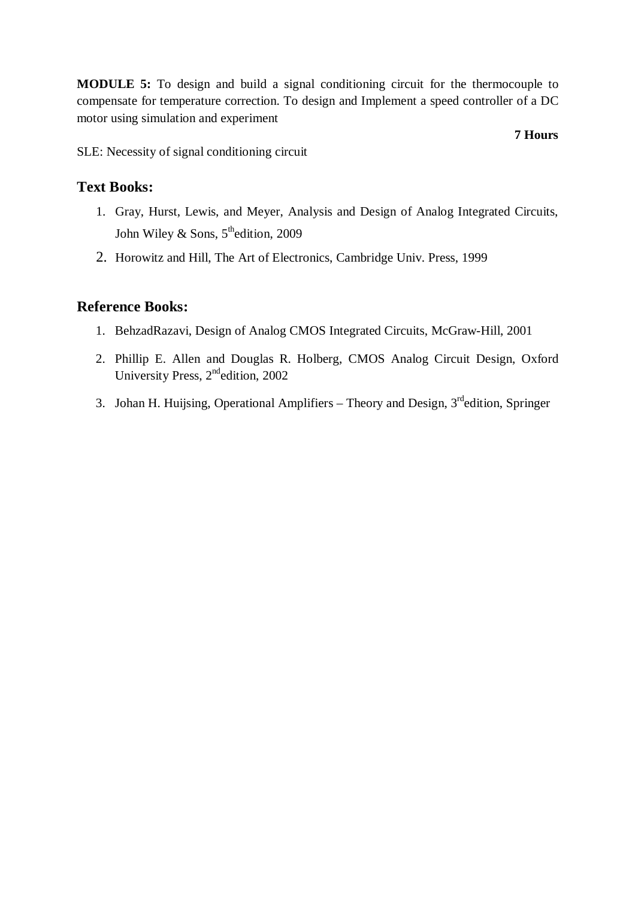**MODULE 5:** To design and build a signal conditioning circuit for the thermocouple to compensate for temperature correction. To design and Implement a speed controller of a DC motor using simulation and experiment

**7 Hours**

SLE: Necessity of signal conditioning circuit

#### **Text Books:**

- 1. Gray, Hurst, Lewis, and Meyer, Analysis and Design of Analog Integrated Circuits, John Wiley & Sons,  $5^{\text{th}}$ edition, 2009
- 2. Horowitz and Hill, The Art of Electronics, Cambridge Univ. Press, 1999

#### **Reference Books:**

- 1. BehzadRazavi, Design of Analog CMOS Integrated Circuits, McGraw-Hill, 2001
- 2. Phillip E. Allen and Douglas R. Holberg, CMOS Analog Circuit Design, Oxford University Press, 2<sup>nd</sup>edition, 2002
- 3. Johan H. Huijsing, Operational Amplifiers Theory and Design,  $3<sup>rd</sup>$ edition, Springer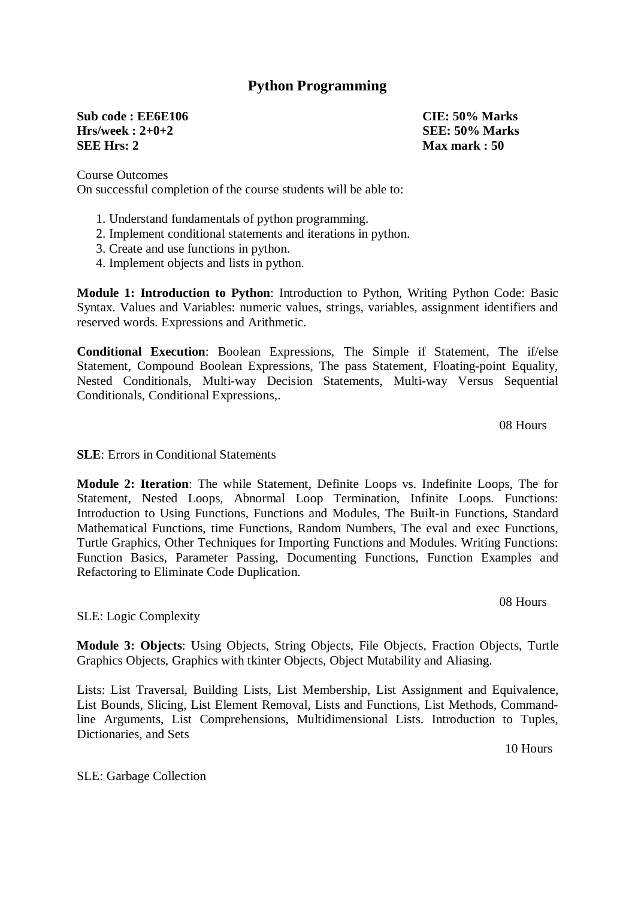#### **Python Programming**

**Sub code : EE6E106 CIE: 50% Marks Hrs/week : 2+0+2 SEE: 50% Marks SEE Hrs: 2 Max mark : 50**

Course Outcomes On successful completion of the course students will be able to:

- 1. Understand fundamentals of python programming.
- 2. Implement conditional statements and iterations in python.
- 3. Create and use functions in python.
- 4. Implement objects and lists in python.

**Module 1: Introduction to Python**: Introduction to Python, Writing Python Code: Basic Syntax. Values and Variables: numeric values, strings, variables, assignment identifiers and reserved words. Expressions and Arithmetic.

**Conditional Execution**: Boolean Expressions, The Simple if Statement, The if/else Statement, Compound Boolean Expressions, The pass Statement, Floating-point Equality, Nested Conditionals, Multi-way Decision Statements, Multi-way Versus Sequential Conditionals, Conditional Expressions,.

08 Hours

**SLE**: Errors in Conditional Statements

**Module 2: Iteration**: The while Statement, Definite Loops vs. Indefinite Loops, The for Statement, Nested Loops, Abnormal Loop Termination, Infinite Loops. Functions: Introduction to Using Functions, Functions and Modules, The Built-in Functions, Standard Mathematical Functions, time Functions, Random Numbers, The eval and exec Functions, Turtle Graphics, Other Techniques for Importing Functions and Modules. Writing Functions: Function Basics, Parameter Passing, Documenting Functions, Function Examples and Refactoring to Eliminate Code Duplication.

SLE: Logic Complexity

**Module 3: Objects**: Using Objects, String Objects, File Objects, Fraction Objects, Turtle Graphics Objects, Graphics with tkinter Objects, Object Mutability and Aliasing.

Lists: List Traversal, Building Lists, List Membership, List Assignment and Equivalence, List Bounds, Slicing, List Element Removal, Lists and Functions, List Methods, Commandline Arguments, List Comprehensions, Multidimensional Lists. Introduction to Tuples, Dictionaries, and Sets

10 Hours

SLE: Garbage Collection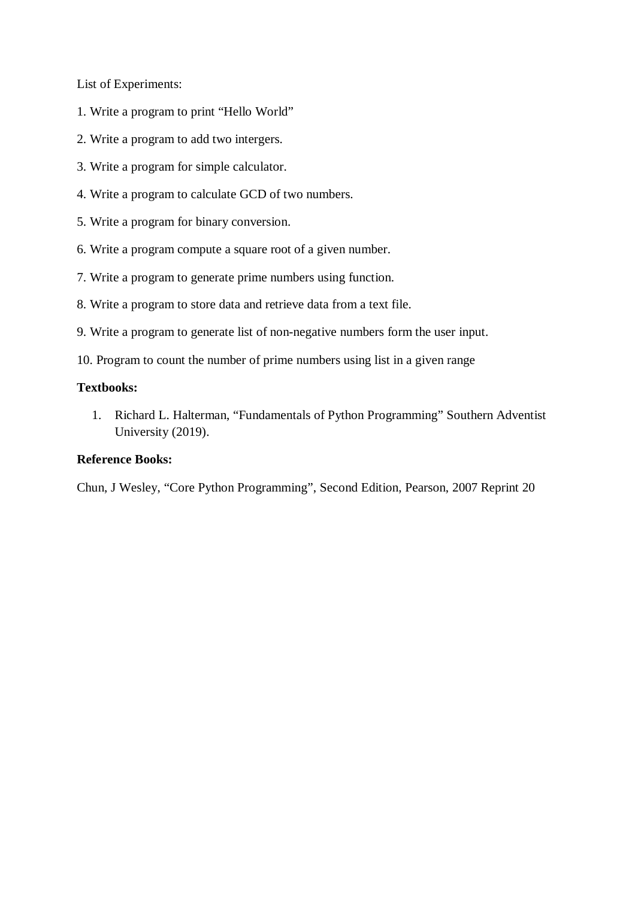List of Experiments:

- 1. Write a program to print "Hello World"
- 2. Write a program to add two intergers.
- 3. Write a program for simple calculator.
- 4. Write a program to calculate GCD of two numbers.
- 5. Write a program for binary conversion.
- 6. Write a program compute a square root of a given number.
- 7. Write a program to generate prime numbers using function.
- 8. Write a program to store data and retrieve data from a text file.
- 9. Write a program to generate list of non-negative numbers form the user input.
- 10. Program to count the number of prime numbers using list in a given range

#### **Textbooks:**

1. Richard L. Halterman, "Fundamentals of Python Programming" Southern Adventist University (2019).

#### **Reference Books:**

Chun, J Wesley, "Core Python Programming", Second Edition, Pearson, 2007 Reprint 20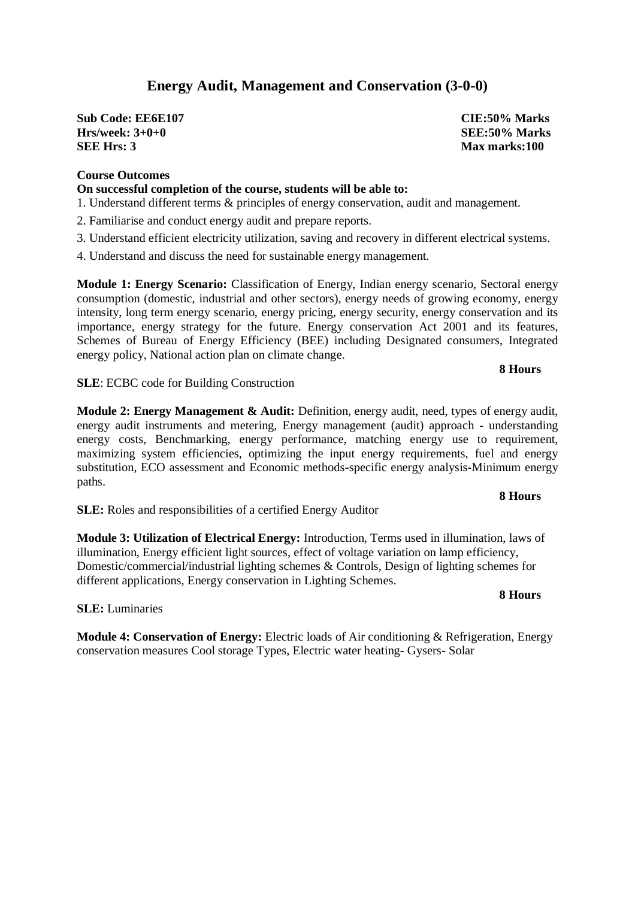## **Energy Audit, Management and Conservation (3-0-0)**

**Sub Code: EE6E107 CIE:50% Marks Hrs/week: 3+0+0 SEE:50% Marks**<br> **SEE:50% Marks**<br> **SEE:50% Marks** 

#### **Course Outcomes**

#### **On successful completion of the course, students will be able to:**

- 1. Understand different terms & principles of energy conservation, audit and management.
- 2. Familiarise and conduct energy audit and prepare reports.
- 3. Understand efficient electricity utilization, saving and recovery in different electrical systems.
- 4. Understand and discuss the need for sustainable energy management.

**Module 1: Energy Scenario:** Classification of Energy, Indian energy scenario, Sectoral energy consumption (domestic, industrial and other sectors), energy needs of growing economy, energy intensity, long term energy scenario, energy pricing, energy security, energy conservation and its importance, energy strategy for the future. Energy conservation Act 2001 and its features, Schemes of Bureau of Energy Efficiency (BEE) including Designated consumers, Integrated energy policy, National action plan on climate change.

#### **8 Hours**

**SLE**: ECBC code for Building Construction

**Module 2: Energy Management & Audit:** Definition, energy audit, need, types of energy audit, energy audit instruments and metering, Energy management (audit) approach - understanding energy costs, Benchmarking, energy performance, matching energy use to requirement, maximizing system efficiencies, optimizing the input energy requirements, fuel and energy substitution, ECO assessment and Economic methods-specific energy analysis-Minimum energy paths.

**SLE:** Roles and responsibilities of a certified Energy Auditor

**Module 3: Utilization of Electrical Energy:** Introduction, Terms used in illumination, laws of illumination, Energy efficient light sources, effect of voltage variation on lamp efficiency, Domestic/commercial/industrial lighting schemes & Controls, Design of lighting schemes for different applications, Energy conservation in Lighting Schemes.

**SLE:** Luminaries

**Module 4: Conservation of Energy:** Electric loads of Air conditioning & Refrigeration, Energy conservation measures Cool storage Types, Electric water heating- Gysers- Solar

# **Max marks: 100**

#### **8 Hours**